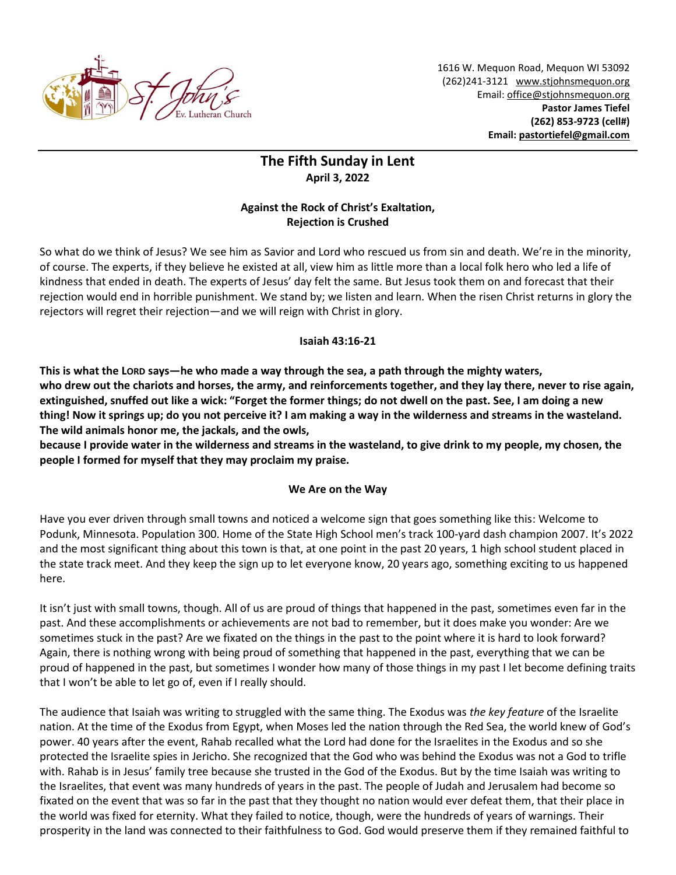

1616 W. Mequon Road, Mequon WI 53092 (262)241-3121 [www.stjohnsmequon.org](http://www.stjohnsmequon.org/) Email[: office@stjohnsmequon.org](mailto:office@stjohnsmequon.org) **Pastor James Tiefel (262) 853-9723 (cell#) Email: [pastortiefel@gmail.com](mailto:pastortiefel@gmail.com)**

## **The Fifth Sunday in Lent April 3, 2022**

## **Against the Rock of Christ's Exaltation, Rejection is Crushed**

So what do we think of Jesus? We see him as Savior and Lord who rescued us from sin and death. We're in the minority, of course. The experts, if they believe he existed at all, view him as little more than a local folk hero who led a life of kindness that ended in death. The experts of Jesus' day felt the same. But Jesus took them on and forecast that their rejection would end in horrible punishment. We stand by; we listen and learn. When the risen Christ returns in glory the rejectors will regret their rejection—and we will reign with Christ in glory.

## **Isaiah 43:16-21**

**This is what the LORD says—he who made a way through the sea, a path through the mighty waters, who drew out the chariots and horses, the army, and reinforcements together, and they lay there, never to rise again, extinguished, snuffed out like a wick: "Forget the former things; do not dwell on the past. See, I am doing a new thing! Now it springs up; do you not perceive it? I am making a way in the wilderness and streams in the wasteland. The wild animals honor me, the jackals, and the owls,** 

**because I provide water in the wilderness and streams in the wasteland, to give drink to my people, my chosen, the people I formed for myself that they may proclaim my praise.**

## **We Are on the Way**

Have you ever driven through small towns and noticed a welcome sign that goes something like this: Welcome to Podunk, Minnesota. Population 300. Home of the State High School men's track 100-yard dash champion 2007. It's 2022 and the most significant thing about this town is that, at one point in the past 20 years, 1 high school student placed in the state track meet. And they keep the sign up to let everyone know, 20 years ago, something exciting to us happened here.

It isn't just with small towns, though. All of us are proud of things that happened in the past, sometimes even far in the past. And these accomplishments or achievements are not bad to remember, but it does make you wonder: Are we sometimes stuck in the past? Are we fixated on the things in the past to the point where it is hard to look forward? Again, there is nothing wrong with being proud of something that happened in the past, everything that we can be proud of happened in the past, but sometimes I wonder how many of those things in my past I let become defining traits that I won't be able to let go of, even if I really should.

The audience that Isaiah was writing to struggled with the same thing. The Exodus was *the key feature* of the Israelite nation. At the time of the Exodus from Egypt, when Moses led the nation through the Red Sea, the world knew of God's power. 40 years after the event, Rahab recalled what the Lord had done for the Israelites in the Exodus and so she protected the Israelite spies in Jericho. She recognized that the God who was behind the Exodus was not a God to trifle with. Rahab is in Jesus' family tree because she trusted in the God of the Exodus. But by the time Isaiah was writing to the Israelites, that event was many hundreds of years in the past. The people of Judah and Jerusalem had become so fixated on the event that was so far in the past that they thought no nation would ever defeat them, that their place in the world was fixed for eternity. What they failed to notice, though, were the hundreds of years of warnings. Their prosperity in the land was connected to their faithfulness to God. God would preserve them if they remained faithful to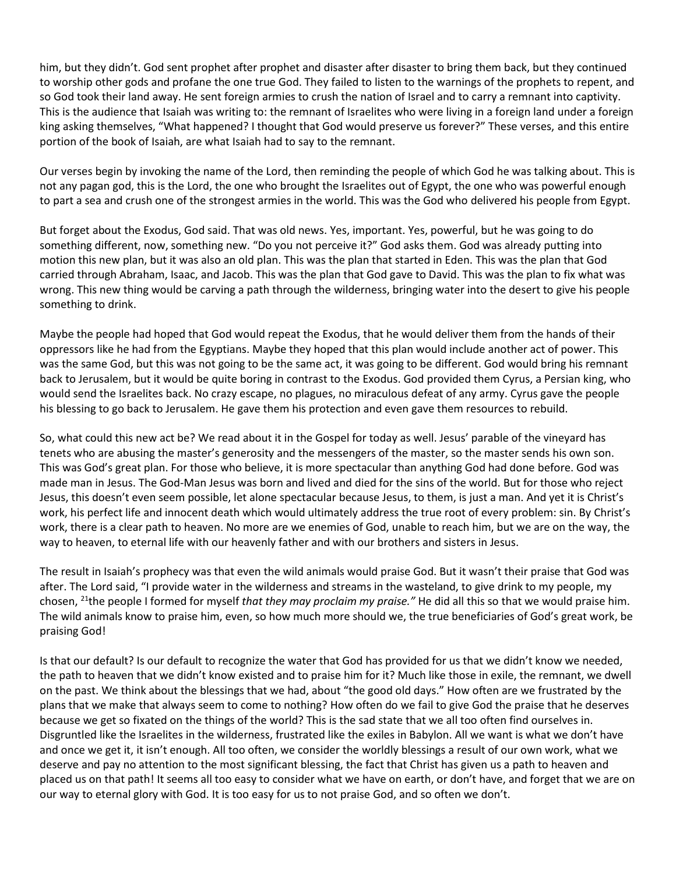him, but they didn't. God sent prophet after prophet and disaster after disaster to bring them back, but they continued to worship other gods and profane the one true God. They failed to listen to the warnings of the prophets to repent, and so God took their land away. He sent foreign armies to crush the nation of Israel and to carry a remnant into captivity. This is the audience that Isaiah was writing to: the remnant of Israelites who were living in a foreign land under a foreign king asking themselves, "What happened? I thought that God would preserve us forever?" These verses, and this entire portion of the book of Isaiah, are what Isaiah had to say to the remnant.

Our verses begin by invoking the name of the Lord, then reminding the people of which God he was talking about. This is not any pagan god, this is the Lord, the one who brought the Israelites out of Egypt, the one who was powerful enough to part a sea and crush one of the strongest armies in the world. This was the God who delivered his people from Egypt.

But forget about the Exodus, God said. That was old news. Yes, important. Yes, powerful, but he was going to do something different, now, something new. "Do you not perceive it?" God asks them. God was already putting into motion this new plan, but it was also an old plan. This was the plan that started in Eden. This was the plan that God carried through Abraham, Isaac, and Jacob. This was the plan that God gave to David. This was the plan to fix what was wrong. This new thing would be carving a path through the wilderness, bringing water into the desert to give his people something to drink.

Maybe the people had hoped that God would repeat the Exodus, that he would deliver them from the hands of their oppressors like he had from the Egyptians. Maybe they hoped that this plan would include another act of power. This was the same God, but this was not going to be the same act, it was going to be different. God would bring his remnant back to Jerusalem, but it would be quite boring in contrast to the Exodus. God provided them Cyrus, a Persian king, who would send the Israelites back. No crazy escape, no plagues, no miraculous defeat of any army. Cyrus gave the people his blessing to go back to Jerusalem. He gave them his protection and even gave them resources to rebuild.

So, what could this new act be? We read about it in the Gospel for today as well. Jesus' parable of the vineyard has tenets who are abusing the master's generosity and the messengers of the master, so the master sends his own son. This was God's great plan. For those who believe, it is more spectacular than anything God had done before. God was made man in Jesus. The God-Man Jesus was born and lived and died for the sins of the world. But for those who reject Jesus, this doesn't even seem possible, let alone spectacular because Jesus, to them, is just a man. And yet it is Christ's work, his perfect life and innocent death which would ultimately address the true root of every problem: sin. By Christ's work, there is a clear path to heaven. No more are we enemies of God, unable to reach him, but we are on the way, the way to heaven, to eternal life with our heavenly father and with our brothers and sisters in Jesus.

The result in Isaiah's prophecy was that even the wild animals would praise God. But it wasn't their praise that God was after. The Lord said, "I provide water in the wilderness and streams in the wasteland, to give drink to my people, my chosen, <sup>21</sup>the people I formed for myself *that they may proclaim my praise."* He did all this so that we would praise him. The wild animals know to praise him, even, so how much more should we, the true beneficiaries of God's great work, be praising God!

Is that our default? Is our default to recognize the water that God has provided for us that we didn't know we needed, the path to heaven that we didn't know existed and to praise him for it? Much like those in exile, the remnant, we dwell on the past. We think about the blessings that we had, about "the good old days." How often are we frustrated by the plans that we make that always seem to come to nothing? How often do we fail to give God the praise that he deserves because we get so fixated on the things of the world? This is the sad state that we all too often find ourselves in. Disgruntled like the Israelites in the wilderness, frustrated like the exiles in Babylon. All we want is what we don't have and once we get it, it isn't enough. All too often, we consider the worldly blessings a result of our own work, what we deserve and pay no attention to the most significant blessing, the fact that Christ has given us a path to heaven and placed us on that path! It seems all too easy to consider what we have on earth, or don't have, and forget that we are on our way to eternal glory with God. It is too easy for us to not praise God, and so often we don't.